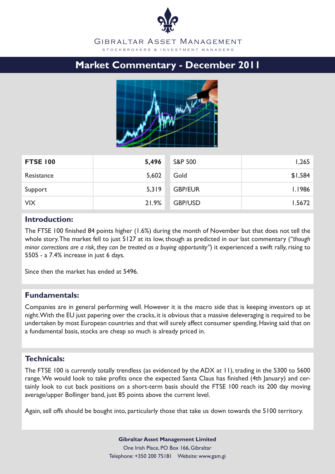## GIBRALTAR ASSET MANAGEMENT S T O C K B R O K E R S & IN V E S T M E N T M A N A G E R S

# **Market Commentary - December 2011**



| <b>FTSE 100</b> | 5,496 | <b>S&amp;P 500</b> | 1,265   |
|-----------------|-------|--------------------|---------|
| Resistance      | 5,602 | Gold               | \$1,584 |
| Support         | 5,319 | <b>GBP/EUR</b>     | 1.1986  |
| <b>VIX</b>      | 21.9% | <b>GBP/USD</b>     | 1.5672  |

# **Introduction:**

The FTSE 100 finished 84 points higher (1.6%) during the month of November but that does not tell the whole story. The market fell to just 5127 at its low, though as predicted in our last commentary (*"though minor corrections are a risk, they can be treated as a buying opportunity"*) it experienced a swift rally, rising to 5505 - a 7.4% increase in just 6 days.

Since then the market has ended at 5496.

# **Fundamentals:**

Companies are in general performing well. However it is the macro side that is keeping investors up at night. With the EU just papering over the cracks, it is obvious that a massive deleveraging is required to be undertaken by most European countries and that will surely affect consumer spending. Having said that on a fundamental basis, stocks are cheap so much is already priced in.

# **Technicals:**

The FTSE 100 is currently totally trendless (as evidenced by the ADX at 11), trading in the 5300 to 5600 range. We would look to take profits once the expected Santa Claus has finished (4th January) and certainly look to cut back positions on a short-term basis should the FTSE 100 reach its 200 day moving average/upper Bollinger band, just 85 points above the current level.

Again, sell offs should be bought into, particularly those that take us down towards the 5100 territory.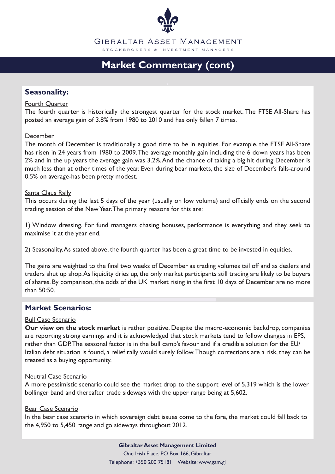

GIBRALTAR ASSET MANAGEMENT S T O C K B R O K E R S & IN V E S T M E N T M A N A G E R S

# **Market Commentary (cont)**

# **Seasonality:**

## Fourth Quarter

The fourth quarter is historically the strongest quarter for the stock market. The FTSE All-Share has posted an average gain of 3.8% from 1980 to 2010 and has only fallen 7 times.

#### December

The month of December is traditionally a good time to be in equities. For example, the FTSE All-Share has risen in 24 years from 1980 to 2009. The average monthly gain including the 6 down years has been 2% and in the up years the average gain was 3.2%. And the chance of taking a big hit during December is much less than at other times of the year. Even during bear markets, the size of December's falls-around 0.5% on average-has been pretty modest.

#### Santa Claus Rally

This occurs during the last 5 days of the year (usually on low volume) and officially ends on the second trading session of the New Year. The primary reasons for this are:

1) Window dressing. For fund managers chasing bonuses, performance is everything and they seek to maximise it at the year end.

2) Seasonality. As stated above, the fourth quarter has been a great time to be invested in equities.

The gains are weighted to the final two weeks of December as trading volumes tail off and as dealers and traders shut up shop. As liquidity dries up, the only market participants still trading are likely to be buyers of shares. By comparison, the odds of the UK market rising in the first 10 days of December are no more than 50:50.

## **Market Scenarios:**

## Bull Case Scenario

**Our view on the stock market** is rather positive. Despite the macro-economic backdrop, companies are reporting strong earnings and it is acknowledged that stock markets tend to follow changes in EPS, rather than GDP. The seasonal factor is in the bull camp's favour and if a credible solution for the EU/ Italian debt situation is found, a relief rally would surely follow. Though corrections are a risk, they can be treated as a buying opportunity.

#### Neutral Case Scenario

A more pessimistic scenario could see the market drop to the support level of 5,319 which is the lower bollinger band and thereafter trade sideways with the upper range being at 5,602.

## Bear Case Scenario

In the bear case scenario in which sovereign debt issues come to the fore, the market could fall back to the 4,950 to 5,450 range and go sideways throughout 2012.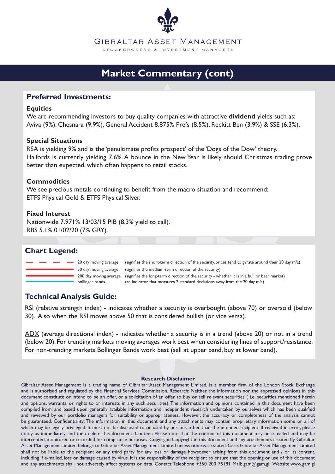

# **Market Commentary (cont)**

# **Preferred Investments:**

## **Equities**

We are recommending investors to buy quality companies with attractive **dividend** yields such as: Aviva (9%), Chesnara (9.9%), General Accident 8.875% Prefs (8.5%), Reckitt Ben (3.9%) & SSE (6.3%).

## **Special Situations**

RSA is yielding 9% and is the 'penultimate profits prospect' of the 'Dogs of the Dow' theory. Halfords is currently yielding 7.6%. A bounce in the New Year is likely should Christmas trading prove better than expected, which often happens to retail stocks.

## **Commodities**

We see precious metals continuing to benefit from the macro situation and recommend: ETFS Physical Gold & ETFS Physical Silver.

## **Fixed Interest**

Nationwide 7.971% 13/03/15 PIB (8.3% yield to call). RBS 5.1% 01/02/20 (7% GRY).

# **Chart Legend:**

20 day moving average 50 day moving average 200 day moving average

bollinger bands (an indicator that measures 2 standard deviations away from the 20 day m/a) (signifies the long-term direction of the security - whether it is in a bull or bear market) (signifies the medium-term direction of the security) (signifies the short-term direction of the security. prices tend to gyrate around their 20 day m/a)

# **Technical Analysis Guide:**

RSI (relative strength index) - indicates whether a security is overbought (above 70) or oversold (below 30). Also when the RSI moves above 50 that is considered bullish (or vice versa).

ADX (average directional index) - indicates whether a security is in a trend (above 20) or not in a trend (below 20). For trending markets moving averages work best when considering lines of support/resistance. For non-trending markets Bollinger Bands work best (sell at upper band, buy at lower band).

#### **Research Disclaimer**

Gibraltar Asset Management is a trading name of Gibraltar Asset Management Limited, is a member firm of the London Stock Exchange and is authorised and regulated by the Financial Services Commission. Research: Neither the information nor the expressed opinions in this document constitute or intend to be an offer, or a solicitation of an offer, to buy or sell relevant securities ( i.e. securities mentioned herein and options, warrants, or rights to or interests in any such securities). The information and opinions contained in this document have been compiled from, and based upon generally available information and independent research undertaken by ourselves which has been qualified and reviewed by our portfolio managers for suitability or appropriateness. However, the accuracy or completeness of the analysis cannot be guaranteed. Confidentiality: The information in this document and any attachments may contain proprietary information some or all of which may be legally privileged. It must not be disclosed to or used by persons other than the intended recipient. If received in error, please notify us immediately and then delete this document. Content: Please note that the content of this document may be e-mailed and may be intercepted, monitored or recorded for compliance purposes. Copyright: Copyright in this document and any attachments created by Gibraltar Asset Management Limited belongs to Gibraltar Asset Management Limited unless otherwise stated. Care: Gibraltar Asset Management Limited shall not be liable to the recipient or any third party for any loss or damage howsoever arising from this document and / or its content, including if e-mailed, loss or damage caused by virus. It is the responsibility of the recipient to ensure that the opening or use of this document and any attachments shall not adversely affect systems or data. Contact: Telephone +350 200 75181 Mail: gam@gam.gi Website:www.gam.gi